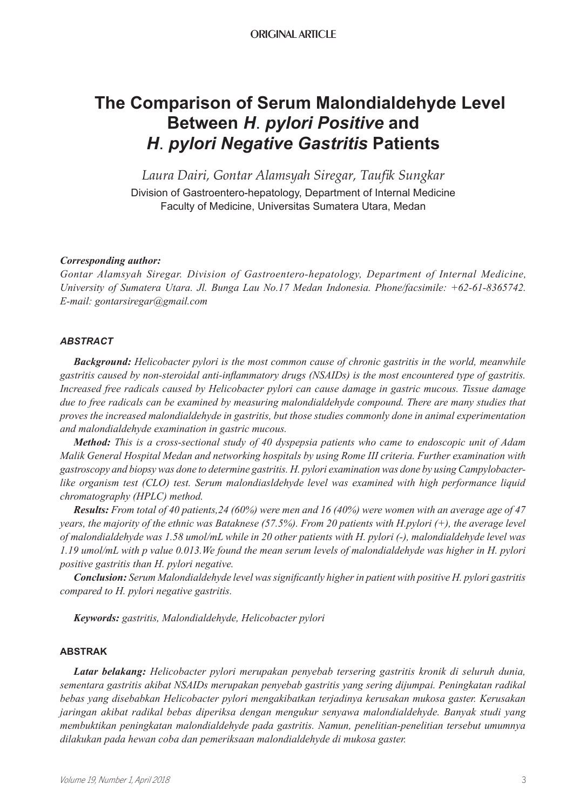# **The Comparison of Serum Malondialdehyde Level Between** *H*. *pylori Positive* **and** *H*. *pylori Negative Gastritis* **Patients**

*Laura Dairi, Gontar Alamsyah Siregar, Taufik Sungkar* Division of Gastroentero-hepatology, Department of Internal Medicine Faculty of Medicine, Universitas Sumatera Utara, Medan

# *Corresponding author:*

*Gontar Alamsyah Siregar. Division of Gastroentero-hepatology, Department of Internal Medicine, University of Sumatera Utara. Jl. Bunga Lau No.17 Medan Indonesia. Phone/facsimile: +62-61-8365742. E-mail: gontarsiregar@gmail.com*

# *ABSTRACT*

*Background: Helicobacter pylori is the most common cause of chronic gastritis in the world, meanwhile gastritis caused by non-steroidal anti-inflammatory drugs (NSAIDs) is the most encountered type of gastritis. Increased free radicals caused by Helicobacter pylori can cause damage in gastric mucous. Tissue damage due to free radicals can be examined by measuring malondialdehyde compound. There are many studies that proves the increased malondialdehyde in gastritis, but those studies commonly done in animal experimentation and malondialdehyde examination in gastric mucous.*

*Method: This is a cross-sectional study of 40 dyspepsia patients who came to endoscopic unit of Adam Malik General Hospital Medan and networking hospitals by using Rome III criteria. Further examination with gastroscopy and biopsy was done to determine gastritis. H. pylori examination was done by using Campylobacterlike organism test (CLO) test. Serum malondiasldehyde level was examined with high performance liquid chromatography (HPLC) method.*

*Results: From total of 40 patients,24 (60%) were men and 16 (40%) were women with an average age of 47 years, the majority of the ethnic was Bataknese (57.5%). From 20 patients with H.pylori (+), the average level of malondialdehyde was 1.58 umol/mL while in 20 other patients with H. pylori (-), malondialdehyde level was 1.19 umol/mL with p value 0.013.We found the mean serum levels of malondialdehyde was higher in H. pylori positive gastritis than H. pylori negative.*

*Conclusion: Serum Malondialdehyde level was significantly higher in patient with positive H. pylori gastritis compared to H. pylori negative gastritis.*

*Keywords: gastritis, Malondialdehyde, Helicobacter pylori*

### **ABSTRAK**

*Latar belakang: Helicobacter pylori merupakan penyebab tersering gastritis kronik di seluruh dunia, sementara gastritis akibat NSAIDs merupakan penyebab gastritis yang sering dijumpai. Peningkatan radikal bebas yang disebabkan Helicobacter pylori mengakibatkan terjadinya kerusakan mukosa gaster. Kerusakan jaringan akibat radikal bebas diperiksa dengan mengukur senyawa malondialdehyde. Banyak studi yang membuktikan peningkatan malondialdehyde pada gastritis. Namun, penelitian-penelitian tersebut umumnya dilakukan pada hewan coba dan pemeriksaan malondialdehyde di mukosa gaster.*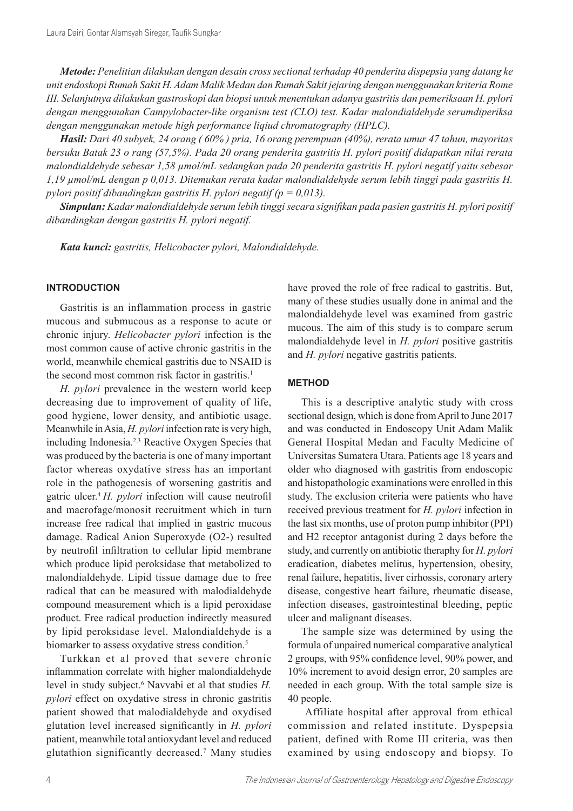*Metode: Penelitian dilakukan dengan desain cross sectional terhadap 40 penderita dispepsia yang datang ke unit endoskopi Rumah Sakit H. Adam Malik Medan dan Rumah Sakit jejaring dengan menggunakan kriteria Rome III. Selanjutnya dilakukan gastroskopi dan biopsi untuk menentukan adanya gastritis dan pemeriksaan H. pylori dengan menggunakan Campylobacter-like organism test (CLO) test. Kadar malondialdehyde serumdiperiksa dengan menggunakan metode high performance liqiud chromatography (HPLC).*

*Hasil: Dari 40 subyek, 24 orang ( 60% ) pria, 16 orang perempuan (40%), rerata umur 47 tahun, mayoritas bersuku Batak 23 o rang (57,5%). Pada 20 orang penderita gastritis H. pylori positif didapatkan nilai rerata malondialdehyde sebesar 1,58 µmol/mL sedangkan pada 20 penderita gastritis H. pylori negatif yaitu sebesar 1,19 µmol/mL dengan p 0,013. Ditemukan rerata kadar malondialdehyde serum lebih tinggi pada gastritis H. pylori positif dibandingkan gastritis H. pylori negatif (p = 0,013).*

*Simpulan: Kadar malondialdehyde serum lebih tinggi secara signifikan pada pasien gastritis H. pylori positif dibandingkan dengan gastritis H. pylori negatif.*

*Kata kunci: gastritis, Helicobacter pylori, Malondialdehyde.*

## **INTRODUCTION**

Gastritis is an inflammation process in gastric mucous and submucous as a response to acute or chronic injury. *Helicobacter pylori* infection is the most common cause of active chronic gastritis in the world, meanwhile chemical gastritis due to NSAID is the second most common risk factor in gastritis.<sup>1</sup>

*H. pylori* prevalence in the western world keep decreasing due to improvement of quality of life, good hygiene, lower density, and antibiotic usage. Meanwhile in Asia, *H. pylori* infection rate is very high, including Indonesia.2,3 Reactive Oxygen Species that was produced by the bacteria is one of many important factor whereas oxydative stress has an important role in the pathogenesis of worsening gastritis and gatric ulcer.<sup>4</sup>*H. pylori* infection will cause neutrofil and macrofage/monosit recruitment which in turn increase free radical that implied in gastric mucous damage. Radical Anion Superoxyde (O2-) resulted by neutrofil infiltration to cellular lipid membrane which produce lipid peroksidase that metabolized to malondialdehyde. Lipid tissue damage due to free radical that can be measured with malodialdehyde compound measurement which is a lipid peroxidase product. Free radical production indirectly measured by lipid peroksidase level. Malondialdehyde is a biomarker to assess oxydative stress condition.<sup>5</sup>

Turkkan et al proved that severe chronic inflammation correlate with higher malondialdehyde level in study subject.<sup>6</sup> Navvabi et al that studies *H. pylori* effect on oxydative stress in chronic gastritis patient showed that malodialdehyde and oxydised glutation level increased significantly in *H. pylori* patient, meanwhile total antioxydant level and reduced glutathion significantly decreased.<sup>7</sup> Many studies have proved the role of free radical to gastritis. But, many of these studies usually done in animal and the malondialdehyde level was examined from gastric mucous. The aim of this study is to compare serum malondialdehyde level in *H. pylori* positive gastritis and *H. pylori* negative gastritis patients.

#### **METHOD**

This is a descriptive analytic study with cross sectional design, which is done from April to June 2017 and was conducted in Endoscopy Unit Adam Malik General Hospital Medan and Faculty Medicine of Universitas Sumatera Utara. Patients age 18 years and older who diagnosed with gastritis from endoscopic and histopathologic examinations were enrolled in this study. The exclusion criteria were patients who have received previous treatment for *H. pylori* infection in the last six months, use of proton pump inhibitor (PPI) and H2 receptor antagonist during 2 days before the study, and currently on antibiotic theraphy for *H. pylori* eradication, diabetes melitus, hypertension, obesity, renal failure, hepatitis, liver cirhossis, coronary artery disease, congestive heart failure, rheumatic disease, infection diseases, gastrointestinal bleeding, peptic ulcer and malignant diseases.

The sample size was determined by using the formula of unpaired numerical comparative analytical 2 groups, with 95% confidence level, 90% power, and 10% increment to avoid design error, 20 samples are needed in each group. With the total sample size is 40 people.

 Affiliate hospital after approval from ethical commission and related institute. Dyspepsia patient, defined with Rome III criteria, was then examined by using endoscopy and biopsy. To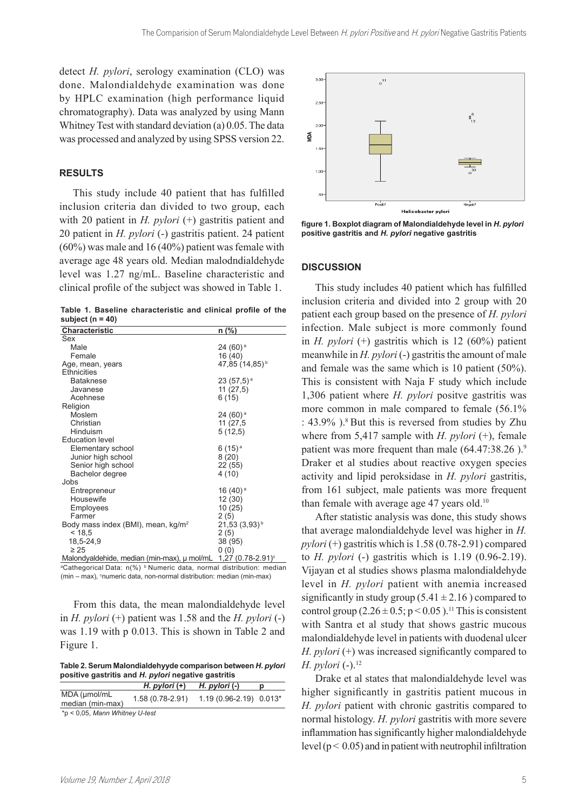detect *H. pylori*, serology examination (CLO) was done. Malondialdehyde examination was done by HPLC examination (high performance liquid chromatography). Data was analyzed by using Mann Whitney Test with standard deviation (a) 0.05. The data was processed and analyzed by using SPSS version 22.

## **RESULTS**

This study include 40 patient that has fulfilled inclusion criteria dan divided to two group, each with 20 patient in *H. pylori* (+) gastritis patient and 20 patient in *H. pylori* (-) gastritis patient. 24 patient (60%) was male and 16 (40%) patient was female with average age 48 years old. Median malodndialdehyde level was 1.27 ng/mL. Baseline characteristic and clinical profile of the subject was showed in Table 1.

**Table 1. Baseline characteristic and clinical profile of the subject (n = 40)**

| <b>Characteristic</b>                          | n (%)                           |
|------------------------------------------------|---------------------------------|
| Sex                                            |                                 |
| Male                                           | $24(60)$ <sup>a</sup>           |
| Female                                         | 16 (40)                         |
| Age, mean, years                               | 47,85 (14,85) <sup>b</sup>      |
| Ethnicities                                    |                                 |
| <b>Bataknese</b>                               | $23(57,5)$ <sup>a</sup>         |
| Javanese                                       | 11(27,5)                        |
| Acehnese                                       | 6 (15)                          |
| Religion                                       |                                 |
| Moslem                                         | $24(60)$ <sup>a</sup>           |
| Christian                                      | 11 (27,5)                       |
| Hinduism                                       | 5(12,5)                         |
| <b>Education level</b>                         |                                 |
| Elementary school                              | 6 (15) <sup>a</sup>             |
| Junior high school                             | 8 (20)                          |
| Senior high school                             | 22 (55)                         |
| Bachelor degree                                | 4 (10)                          |
| Jobs                                           |                                 |
| Entrepreneur                                   | 16 (40) <sup>a</sup>            |
| Housewife                                      | 12 (30)                         |
| Employees                                      | 10 (25)                         |
| Farmer                                         | 2(5)                            |
| Body mass index (BMI), mean, kg/m <sup>2</sup> | $21,53(3,93)^{b}$               |
| < 18.5                                         | 2(5)                            |
| 18,5-24,9                                      | 38 (95)                         |
| $\geq 25$                                      | 0(0)                            |
| Malondyaldehide, median (min-max), µ mol/mL    | $1,27$ (0.78-2.91) <sup>c</sup> |

aCathegorical Data: n(%) <sup>b</sup> Numeric data, normal distribution: median  $(min - max)$ , <sup>c</sup>numeric data, non-normal distribution: median (min-max)

From this data, the mean malondialdehyde level in *H. pylori* (+) patient was 1.58 and the *H. pylori* (-) was 1.19 with p 0.013. This is shown in Table 2 and Figure 1.

**Table 2. Serum Malondialdehyyde comparison between** *H. pylori* **positive gastritis and** *H. pylori* **negative gastritis**

|                                  | H. pylori $(+)$  | H. pylori $(-)$         | D |
|----------------------------------|------------------|-------------------------|---|
| MDA (umol/mL<br>median (min-max) | 1.58 (0.78-2.91) | $1.19(0.96-2.19)0.013*$ |   |
| *p < 0,05, Mann Whitney U-test   |                  |                         |   |

 $\overline{30}$  $\circ$ <sup>11</sup>  $2.5$  $20$ λα  $10$  $\overline{\overline{\overline{\overline{P}}}}$ Negatif Helicobacter pylor

**figure 1. Boxplot diagram of Malondialdehyde level in** *H. pylori* **positive gastritis and** *H. pylori* **negative gastritis**

#### **DISCUSSION**

This study includes 40 patient which has fulfilled inclusion criteria and divided into 2 group with 20 patient each group based on the presence of *H. pylori* infection. Male subject is more commonly found in *H. pylori* (+) gastritis which is 12 (60%) patient meanwhile in *H. pylori* (-) gastritis the amount of male and female was the same which is 10 patient (50%). This is consistent with Naja F study which include 1,306 patient where *H. pylori* positve gastritis was more common in male compared to female (56.1% :  $43.9\%$  ).<sup>8</sup> But this is reversed from studies by Zhu where from 5,417 sample with *H. pylori* (+), female patient was more frequent than male  $(64.47.38.26)$ .<sup>9</sup> Draker et al studies about reactive oxygen species activity and lipid peroksidase in *H. pylori* gastritis, from 161 subject, male patients was more frequent than female with average age 47 years old.<sup>10</sup>

After statistic analysis was done, this study shows that average malondialdehyde level was higher in *H. pylori* (+) gastritis which is 1.58 (0.78-2.91) compared to *H. pylori* (-) gastritis which is 1.19 (0.96-2.19). Vijayan et al studies shows plasma malondialdehyde level in *H. pylori* patient with anemia increased significantly in study group  $(5.41 \pm 2.16)$  compared to control group  $(2.26 \pm 0.5; p \le 0.05)$ .<sup>11</sup> This is consistent with Santra et al study that shows gastric mucous malondialdehyde level in patients with duodenal ulcer *H. pylori* (+) was increased significantly compared to *H. pylori* (-).<sup>12</sup>

Drake et al states that malondialdehyde level was higher significantly in gastritis patient mucous in *H. pylori* patient with chronic gastritis compared to normal histology. *H. pylori* gastritis with more severe inflammation has significantly higher malondialdehyde level ( $p < 0.05$ ) and in patient with neutrophil infiltration